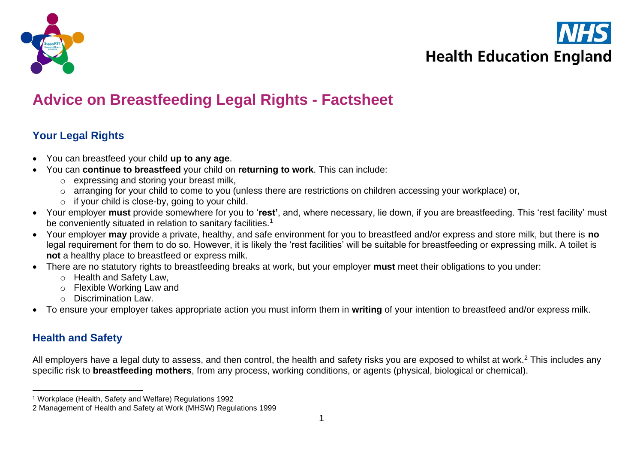



# **Advice on Breastfeeding Legal Rights - Factsheet**

# **Your Legal Rights**

- You can breastfeed your child **up to any age**.
- You can **continue to breastfeed** your child on **returning to work**. This can include:
	- o expressing and storing your breast milk,
	- o arranging for your child to come to you (unless there are restrictions on children accessing your workplace) or,
	- $\circ$  if your child is close-by, going to your child.
- Your employer **must** provide somewhere for you to '**rest'**, and, where necessary, lie down, if you are breastfeeding. This 'rest facility' must be conveniently situated in relation to sanitary facilities.<sup>1</sup>
- Your employer **may** provide a private, healthy, and safe environment for you to breastfeed and/or express and store milk, but there is **no** legal requirement for them to do so. However, it is likely the 'rest facilities' will be suitable for breastfeeding or expressing milk. A toilet is **not** a healthy place to breastfeed or express milk.
- There are no statutory rights to breastfeeding breaks at work, but your employer **must** meet their obligations to you under:
	- o Health and Safety Law,
	- o Flexible Working Law and
	- o Discrimination Law.
- To ensure your employer takes appropriate action you must inform them in **writing** of your intention to breastfeed and/or express milk.

# **Health and Safety**

All employers have a legal duty to assess, and then control, the health and safety risks you are exposed to whilst at work.<sup>2</sup> This includes any specific risk to **breastfeeding mothers**, from any process, working conditions, or agents (physical, biological or chemical).

<sup>1</sup> Workplace (Health, Safety and Welfare) Regulations 1992

<sup>2</sup> Management of Health and Safety at Work (MHSW) Regulations 1999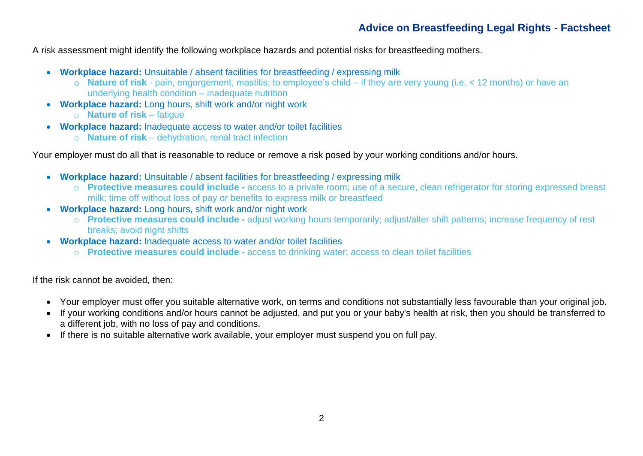## **Advice on Breastfeeding Legal Rights - Factsheet**

A risk assessment might identify the following workplace hazards and potential risks for breastfeeding mothers.

- **Workplace hazard:** Unsuitable / absent facilities for breastfeeding / expressing milk
	- o **Nature of risk** pain, engorgement, mastitis; to employee's child if they are very young (i.e. < 12 months) or have an underlying health condition – inadequate nutrition
- **Workplace hazard:** Long hours, shift work and/or night work
	- o **Nature of risk** fatigue
- **Workplace hazard:** Inadequate access to water and/or toilet facilities
	- o **Nature of risk** dehydration, renal tract infection

Your employer must do all that is reasonable to reduce or remove a risk posed by your working conditions and/or hours.

- **Workplace hazard:** Unsuitable / absent facilities for breastfeeding / expressing milk
	- o **Protective measures could include -** access to a private room; use of a secure, clean refrigerator for storing expressed breast milk; time off without loss of pay or benefits to express milk or breastfeed
- **Workplace hazard:** Long hours, shift work and/or night work
	- o **Protective measures could include -** adjust working hours temporarily; adjust/alter shift patterns; increase frequency of rest breaks; avoid night shifts
- **Workplace hazard:** Inadequate access to water and/or toilet facilities
	- o **Protective measures could include -** access to drinking water; access to clean toilet facilities

If the risk cannot be avoided, then:

- Your employer must offer you suitable alternative work, on terms and conditions not substantially less favourable than your original job.
- If your working conditions and/or hours cannot be adjusted, and put you or your baby's health at risk, then you should be transferred to a different job, with no loss of pay and conditions.
- If there is no suitable alternative work available, your employer must suspend you on full pay.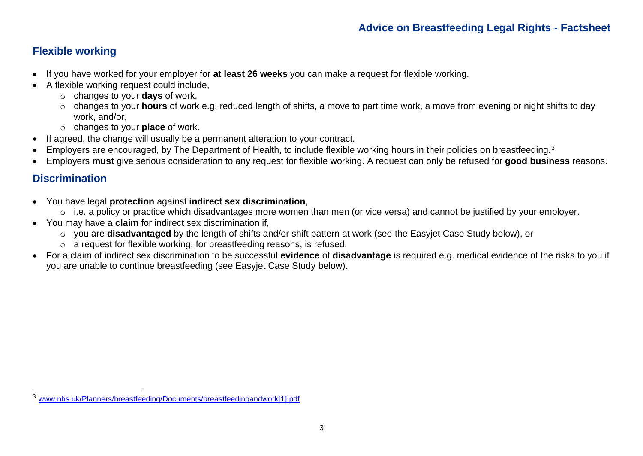## **Flexible working**

- If you have worked for your employer for **at least 26 weeks** you can make a request for flexible working.
- A flexible working request could include,
	- o changes to your **days** of work,
	- o changes to your **hours** of work e.g. reduced length of shifts, a move to part time work, a move from evening or night shifts to day work, and/or,
	- o changes to your **place** of work.
- If agreed, the change will usually be a permanent alteration to your contract.
- Employers are encouraged, by The Department of Health, to include flexible working hours in their policies on breastfeeding.<sup>3</sup>
- Employers **must** give serious consideration to any request for flexible working. A request can only be refused for **good business** reasons.

## **Discrimination**

- You have legal **protection** against **indirect sex discrimination**,
	- o i.e. a policy or practice which disadvantages more women than men (or vice versa) and cannot be justified by your employer.
- You may have a **claim** for indirect sex discrimination if,
	- o you are **disadvantaged** by the length of shifts and/or shift pattern at work (see the Easyjet Case Study below), or
	- o a request for flexible working, for breastfeeding reasons, is refused.
- For a claim of indirect sex discrimination to be successful **evidence** of **disadvantage** is required e.g. medical evidence of the risks to you if you are unable to continue breastfeeding (see Easyjet Case Study below).

<sup>3</sup> [www.nhs.uk/Planners/breastfeeding/Documents/breastfeedingandwork\[1\].pdf](http://www.nhs.uk/Planners/breastfeeding/Documents/breastfeedingandwork%5b1%5d.pdf)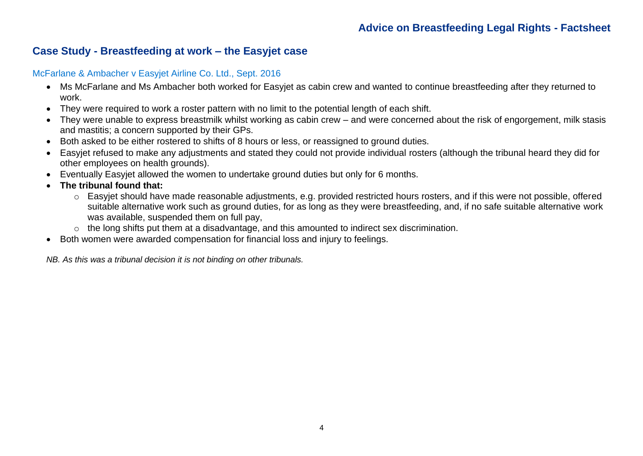#### **Case Study - Breastfeeding at work – the Easyjet case**

#### McFarlane & Ambacher v Easyjet Airline Co. Ltd., Sept. 2016

- Ms McFarlane and Ms Ambacher both worked for Easyjet as cabin crew and wanted to continue breastfeeding after they returned to work.
- They were required to work a roster pattern with no limit to the potential length of each shift.
- They were unable to express breastmilk whilst working as cabin crew and were concerned about the risk of engorgement, milk stasis and mastitis; a concern supported by their GPs.
- Both asked to be either rostered to shifts of 8 hours or less, or reassigned to ground duties.
- Easyjet refused to make any adjustments and stated they could not provide individual rosters (although the tribunal heard they did for other employees on health grounds).
- Eventually Easyjet allowed the women to undertake ground duties but only for 6 months.
- **The tribunal found that:**
	- o Easyjet should have made reasonable adjustments, e.g. provided restricted hours rosters, and if this were not possible, offered suitable alternative work such as ground duties, for as long as they were breastfeeding, and, if no safe suitable alternative work was available, suspended them on full pay,
	- o the long shifts put them at a disadvantage, and this amounted to indirect sex discrimination.
- Both women were awarded compensation for financial loss and injury to feelings.

*NB. As this was a tribunal decision it is not binding on other tribunals.*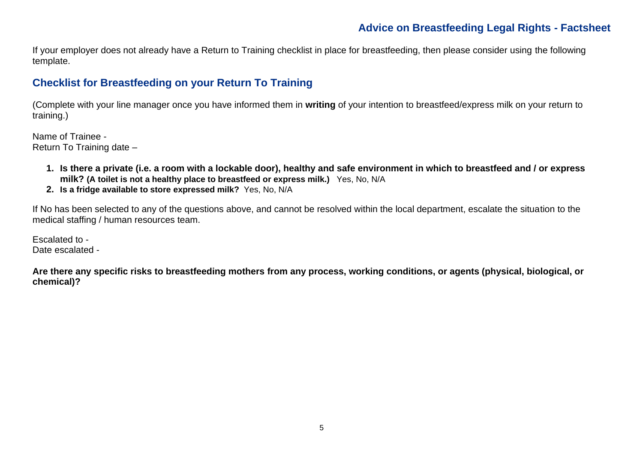## **Advice on Breastfeeding Legal Rights - Factsheet**

If your employer does not already have a Return to Training checklist in place for breastfeeding, then please consider using the following template.

## **Checklist for Breastfeeding on your Return To Training**

(Complete with your line manager once you have informed them in **writing** of your intention to breastfeed/express milk on your return to training.)

Name of Trainee - Return To Training date –

- **1. Is there a private (i.e. a room with a lockable door), healthy and safe environment in which to breastfeed and / or express milk? (A toilet is not a healthy place to breastfeed or express milk.)** Yes, No, N/A
- **2. Is a fridge available to store expressed milk?** Yes, No, N/A

If No has been selected to any of the questions above, and cannot be resolved within the local department, escalate the situation to the medical staffing / human resources team.

Escalated to - Date escalated -

**Are there any specific risks to breastfeeding mothers from any process, working conditions, or agents (physical, biological, or chemical)?**